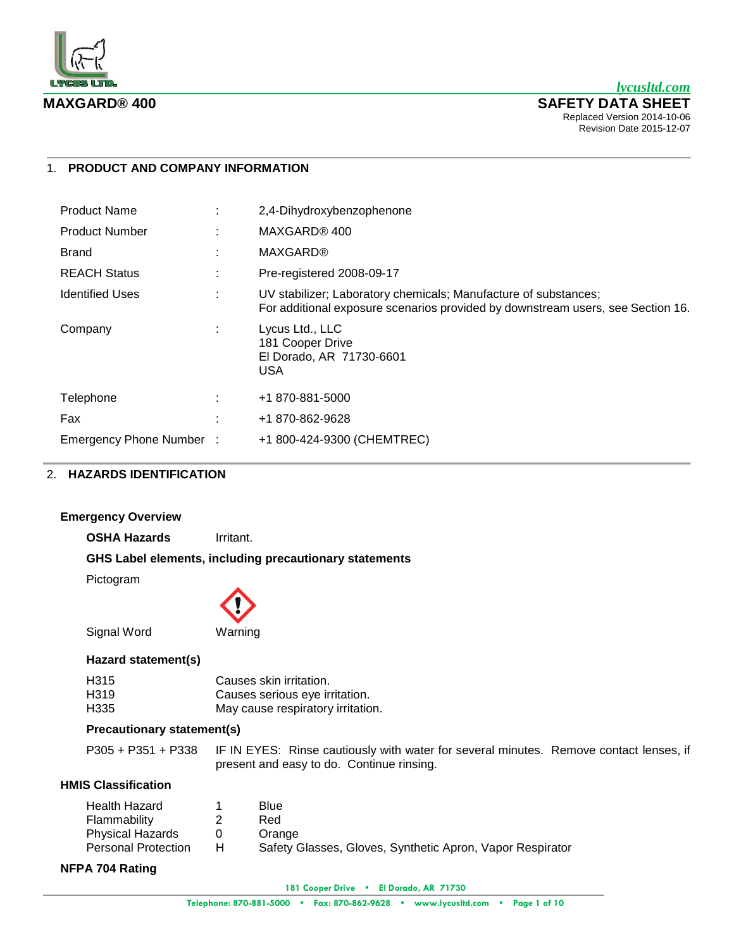

# 1. **PRODUCT AND COMPANY INFORMATION**

| <b>Product Name</b>     |    | 2,4-Dihydroxybenzophenone                                                                                                                          |
|-------------------------|----|----------------------------------------------------------------------------------------------------------------------------------------------------|
| <b>Product Number</b>   | ÷. | MAXGARD® 400                                                                                                                                       |
| <b>Brand</b>            |    | <b>MAXGARD®</b>                                                                                                                                    |
| <b>REACH Status</b>     |    | Pre-registered 2008-09-17                                                                                                                          |
| <b>Identified Uses</b>  | ÷  | UV stabilizer; Laboratory chemicals; Manufacture of substances;<br>For additional exposure scenarios provided by downstream users, see Section 16. |
| Company                 |    | Lycus Ltd., LLC<br>181 Cooper Drive<br>El Dorado, AR 71730-6601<br><b>USA</b>                                                                      |
| Telephone               |    | +1 870-881-5000                                                                                                                                    |
| Fax                     |    | +1 870-862-9628                                                                                                                                    |
| Emergency Phone Number: |    | +1 800-424-9300 (CHEMTREC)                                                                                                                         |

# 2. **HAZARDS IDENTIFICATION**

# **Emergency Overview**

**OSHA Hazards** Irritant.

### **GHS Label elements, including precautionary statements**

Pictogram



Signal Word Warning

### **Hazard statement(s)**

| H315              | Causes skin irritation.           |
|-------------------|-----------------------------------|
| H <sub>3</sub> 19 | Causes serious eye irritation.    |
| H335              | May cause respiratory irritation. |

# **Precautionary statement(s)**

P305 + P351 + P338 IF IN EYES: Rinse cautiously with water for several minutes. Remove contact lenses, if present and easy to do. Continue rinsing.

# **HMIS Classification**

| <b>Health Hazard</b>       |    | Blue                                                      |
|----------------------------|----|-----------------------------------------------------------|
| Flammability               |    | Red                                                       |
| <b>Physical Hazards</b>    |    | Orange                                                    |
| <b>Personal Protection</b> | H. | Safety Glasses, Gloves, Synthetic Apron, Vapor Respirator |
|                            |    |                                                           |

### **NFPA 704 Rating**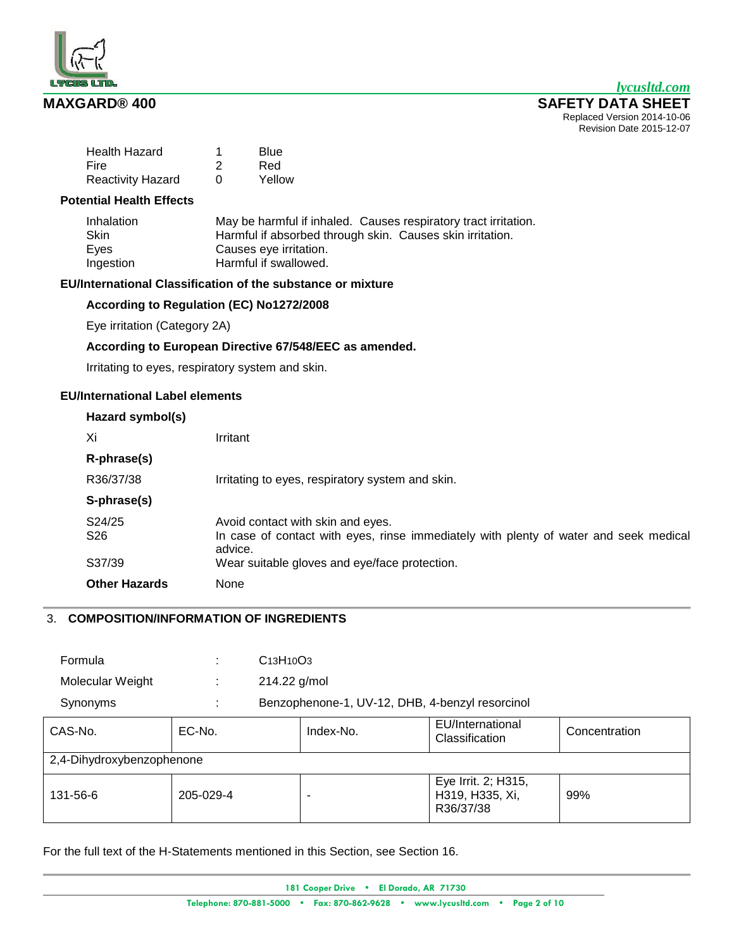

| <b>Health Hazard</b>     |              | Blue       |
|--------------------------|--------------|------------|
| Fire                     | 2            | <b>Red</b> |
| <b>Reactivity Hazard</b> | <sup>0</sup> | Yellow     |

# **Potential Health Effects**

| Inhalation | May be harmful if inhaled. Causes respiratory tract irritation. |
|------------|-----------------------------------------------------------------|
| Skin       | Harmful if absorbed through skin. Causes skin irritation.       |
| Eves       | Causes eve irritation.                                          |
| Ingestion  | Harmful if swallowed.                                           |

# **EU/International Classification of the substance or mixture**

# **According to Regulation (EC) No1272/2008**

Eye irritation (Category 2A)

# **According to European Directive 67/548/EEC as amended.**

Irritating to eyes, respiratory system and skin.

# **EU/International Label elements**

| Hazard symbol(s)          |                                                                                                                                       |
|---------------------------|---------------------------------------------------------------------------------------------------------------------------------------|
| Xi                        | Irritant                                                                                                                              |
| R-phrase(s)               |                                                                                                                                       |
| R36/37/38                 | Irritating to eyes, respiratory system and skin.                                                                                      |
| S-phrase(s)               |                                                                                                                                       |
| S24/25<br>S <sub>26</sub> | Avoid contact with skin and eyes.<br>In case of contact with eyes, rinse immediately with plenty of water and seek medical<br>advice. |
| S37/39                    | Wear suitable gloves and eye/face protection.                                                                                         |
| <b>Other Hazards</b>      | None                                                                                                                                  |

# 3. **COMPOSITION/INFORMATION OF INGREDIENTS**

| Formula                   | ٠                 | $C13H10O3$   |                                                 |                                                     |               |
|---------------------------|-------------------|--------------|-------------------------------------------------|-----------------------------------------------------|---------------|
| Molecular Weight          | ٠.                | 214.22 g/mol |                                                 |                                                     |               |
| Synonyms                  | ٠<br>$\mathbf{r}$ |              | Benzophenone-1, UV-12, DHB, 4-benzyl resorcinol |                                                     |               |
| CAS-No.                   | EC-No.            |              | Index-No.                                       | EU/International<br>Classification                  | Concentration |
| 2,4-Dihydroxybenzophenone |                   |              |                                                 |                                                     |               |
| 131-56-6                  | 205-029-4         |              |                                                 | Eye Irrit. 2; H315,<br>H319, H335, Xi,<br>R36/37/38 | 99%           |

For the full text of the H-Statements mentioned in this Section, see Section 16.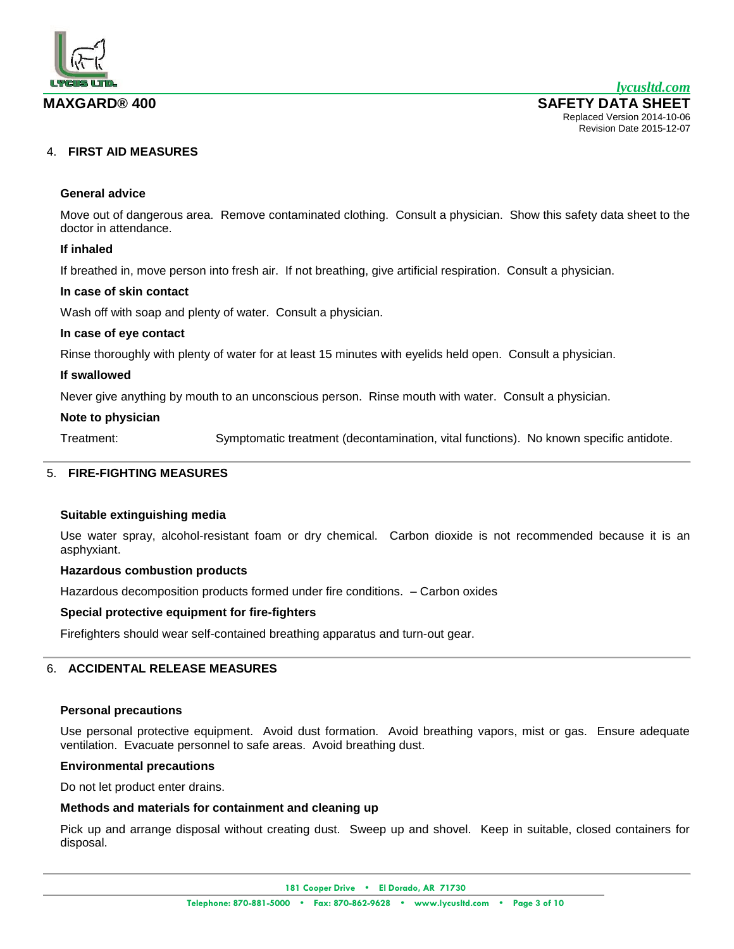

# 4. **FIRST AID MEASURES**

## **General advice**

Move out of dangerous area. Remove contaminated clothing. Consult a physician. Show this safety data sheet to the doctor in attendance.

# **If inhaled**

If breathed in, move person into fresh air. If not breathing, give artificial respiration. Consult a physician.

### **In case of skin contact**

Wash off with soap and plenty of water. Consult a physician.

### **In case of eye contact**

Rinse thoroughly with plenty of water for at least 15 minutes with eyelids held open. Consult a physician.

### **If swallowed**

Never give anything by mouth to an unconscious person. Rinse mouth with water. Consult a physician.

#### **Note to physician**

Treatment: Symptomatic treatment (decontamination, vital functions). No known specific antidote.

# 5. **FIRE-FIGHTING MEASURES**

#### **Suitable extinguishing media**

Use water spray, alcohol-resistant foam or dry chemical. Carbon dioxide is not recommended because it is an asphyxiant.

# **Hazardous combustion products**

Hazardous decomposition products formed under fire conditions. – Carbon oxides

# **Special protective equipment for fire-fighters**

Firefighters should wear self-contained breathing apparatus and turn-out gear.

# 6. **ACCIDENTAL RELEASE MEASURES**

#### **Personal precautions**

Use personal protective equipment. Avoid dust formation. Avoid breathing vapors, mist or gas. Ensure adequate ventilation. Evacuate personnel to safe areas. Avoid breathing dust.

#### **Environmental precautions**

Do not let product enter drains.

# **Methods and materials for containment and cleaning up**

Pick up and arrange disposal without creating dust. Sweep up and shovel. Keep in suitable, closed containers for disposal.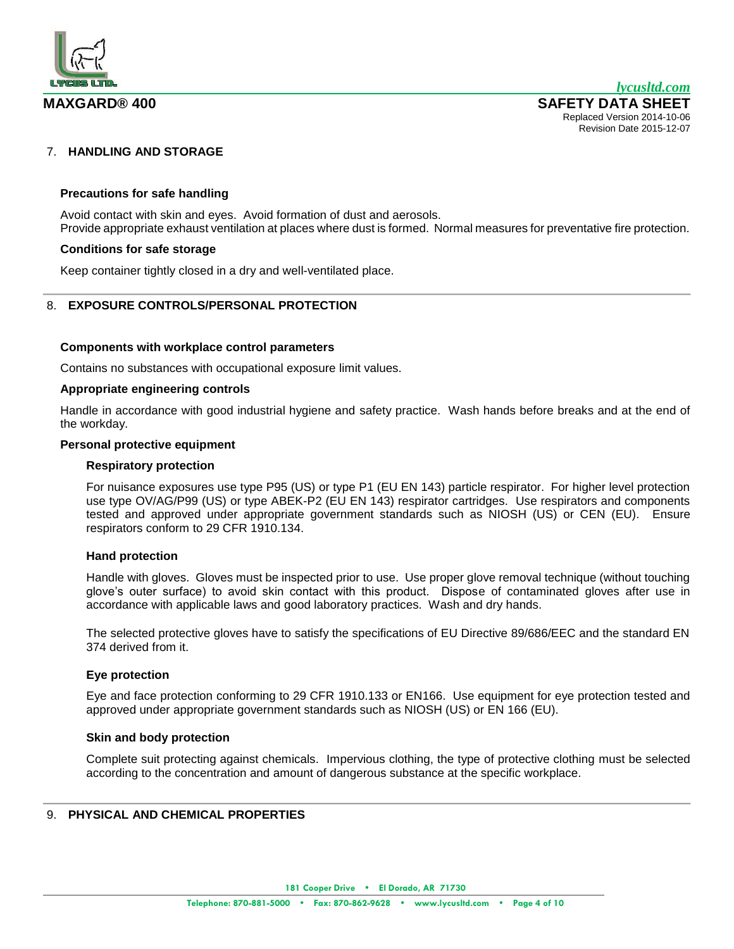

# 7. **HANDLING AND STORAGE**

# **Precautions for safe handling**

Avoid contact with skin and eyes. Avoid formation of dust and aerosols. Provide appropriate exhaust ventilation at places where dust is formed. Normal measures for preventative fire protection.

### **Conditions for safe storage**

Keep container tightly closed in a dry and well-ventilated place.

# 8. **EXPOSURE CONTROLS/PERSONAL PROTECTION**

### **Components with workplace control parameters**

Contains no substances with occupational exposure limit values.

### **Appropriate engineering controls**

Handle in accordance with good industrial hygiene and safety practice. Wash hands before breaks and at the end of the workday.

### **Personal protective equipment**

#### **Respiratory protection**

For nuisance exposures use type P95 (US) or type P1 (EU EN 143) particle respirator. For higher level protection use type OV/AG/P99 (US) or type ABEK-P2 (EU EN 143) respirator cartridges. Use respirators and components tested and approved under appropriate government standards such as NIOSH (US) or CEN (EU). Ensure respirators conform to 29 CFR 1910.134.

# **Hand protection**

Handle with gloves. Gloves must be inspected prior to use. Use proper glove removal technique (without touching glove's outer surface) to avoid skin contact with this product. Dispose of contaminated gloves after use in accordance with applicable laws and good laboratory practices. Wash and dry hands.

The selected protective gloves have to satisfy the specifications of EU Directive 89/686/EEC and the standard EN 374 derived from it.

# **Eye protection**

Eye and face protection conforming to 29 CFR 1910.133 or EN166. Use equipment for eye protection tested and approved under appropriate government standards such as NIOSH (US) or EN 166 (EU).

# **Skin and body protection**

Complete suit protecting against chemicals. Impervious clothing, the type of protective clothing must be selected according to the concentration and amount of dangerous substance at the specific workplace.

# 9. **PHYSICAL AND CHEMICAL PROPERTIES**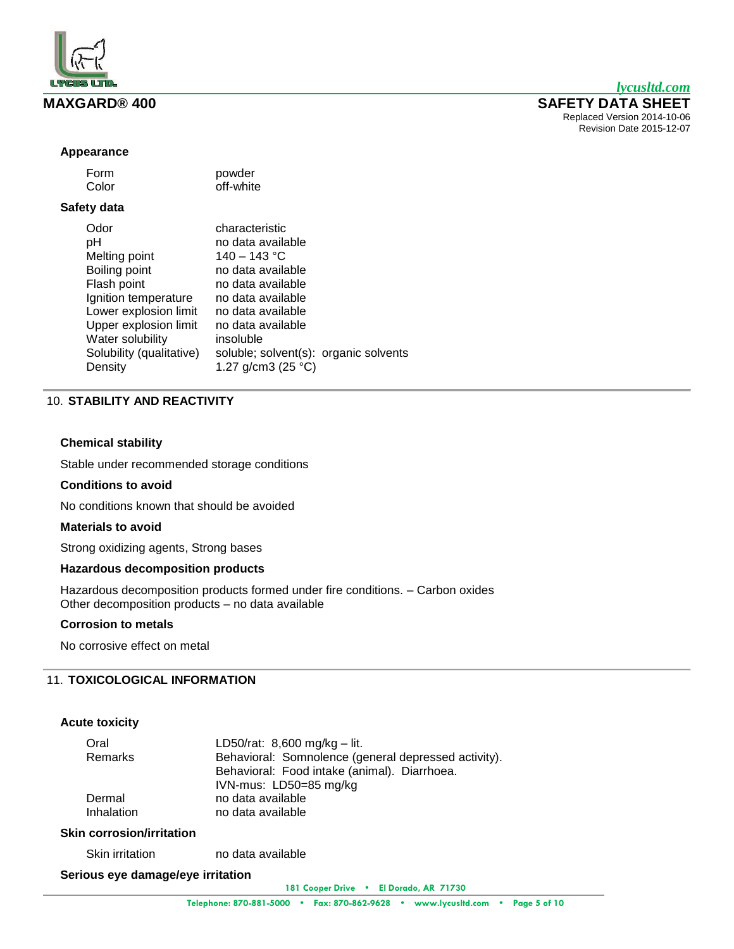

*lycusltd.com* **MAXGARD® 400 SAFETY DATA SHEET** Replaced Version 2014-10-06 Revision Date 2015-12-07

### **Appearance**

| Form  | powder    |
|-------|-----------|
| Color | off-white |

# **Safety data**

| Odor                     | characteristic                        |
|--------------------------|---------------------------------------|
| рH                       | no data available                     |
| Melting point            | $140 - 143$ °C                        |
| Boiling point            | no data available                     |
| Flash point              | no data available                     |
| Ignition temperature     | no data available                     |
| Lower explosion limit    | no data available                     |
| Upper explosion limit    | no data available                     |
| Water solubility         | insoluble                             |
| Solubility (qualitative) | soluble; solvent(s): organic solvents |
| Density                  | 1.27 g/cm3 (25 $^{\circ}$ C)          |

# 10. **STABILITY AND REACTIVITY**

### **Chemical stability**

Stable under recommended storage conditions

#### **Conditions to avoid**

No conditions known that should be avoided

# **Materials to avoid**

Strong oxidizing agents, Strong bases

# **Hazardous decomposition products**

Hazardous decomposition products formed under fire conditions. – Carbon oxides Other decomposition products – no data available

#### **Corrosion to metals**

No corrosive effect on metal

# 11. **TOXICOLOGICAL INFORMATION**

# **Acute toxicity**

| Oral       | LD50/rat: $8,600$ mg/kg - lit.                       |
|------------|------------------------------------------------------|
| Remarks    | Behavioral: Somnolence (general depressed activity). |
|            | Behavioral: Food intake (animal). Diarrhoea.         |
|            | IVN-mus: LD50=85 mg/kg                               |
| Dermal     | no data available                                    |
| Inhalation | no data available                                    |

# **Skin corrosion/irritation**

Skin irritation ho data available

#### **Serious eye damage/eye irritation**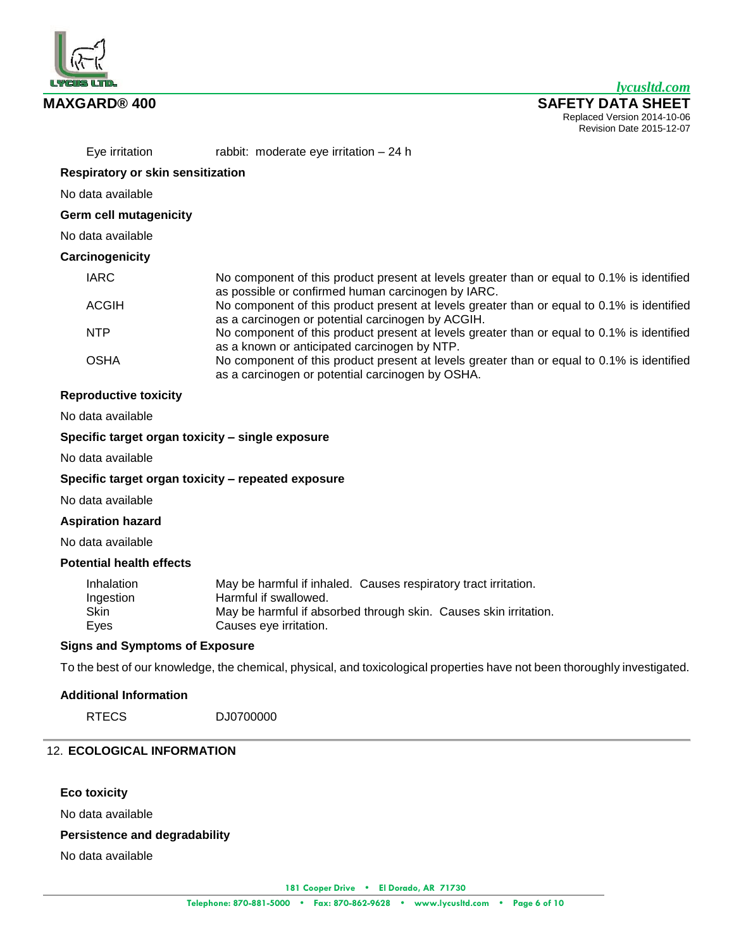

Eye irritation rabbit: moderate eye irritation – 24 h

# **Respiratory or skin sensitization**

No data available

### **Germ cell mutagenicity**

No data available

# **Carcinogenicity**

| IARC  | No component of this product present at levels greater than or equal to 0.1% is identified<br>as possible or confirmed human carcinogen by IARC. |
|-------|--------------------------------------------------------------------------------------------------------------------------------------------------|
| ACGIH | No component of this product present at levels greater than or equal to 0.1% is identified<br>as a carcinogen or potential carcinogen by ACGIH.  |
| NTP   | No component of this product present at levels greater than or equal to 0.1% is identified<br>as a known or anticipated carcinogen by NTP.       |
| OSHA  | No component of this product present at levels greater than or equal to 0.1% is identified<br>as a carcinogen or potential carcinogen by OSHA.   |

# **Reproductive toxicity**

No data available

# **Specific target organ toxicity – single exposure**

No data available

## **Specific target organ toxicity – repeated exposure**

No data available

# **Aspiration hazard**

No data available

# **Potential health effects**

| Inhalation  | May be harmful if inhaled. Causes respiratory tract irritation.  |
|-------------|------------------------------------------------------------------|
| Ingestion   | Harmful if swallowed.                                            |
| <b>Skin</b> | May be harmful if absorbed through skin. Causes skin irritation. |
| Eves        | Causes eve irritation.                                           |

# **Signs and Symptoms of Exposure**

To the best of our knowledge, the chemical, physical, and toxicological properties have not been thoroughly investigated.

# **Additional Information**

RTECS DJ0700000

# 12. **ECOLOGICAL INFORMATION**

# **Eco toxicity**

No data available

# **Persistence and degradability**

No data available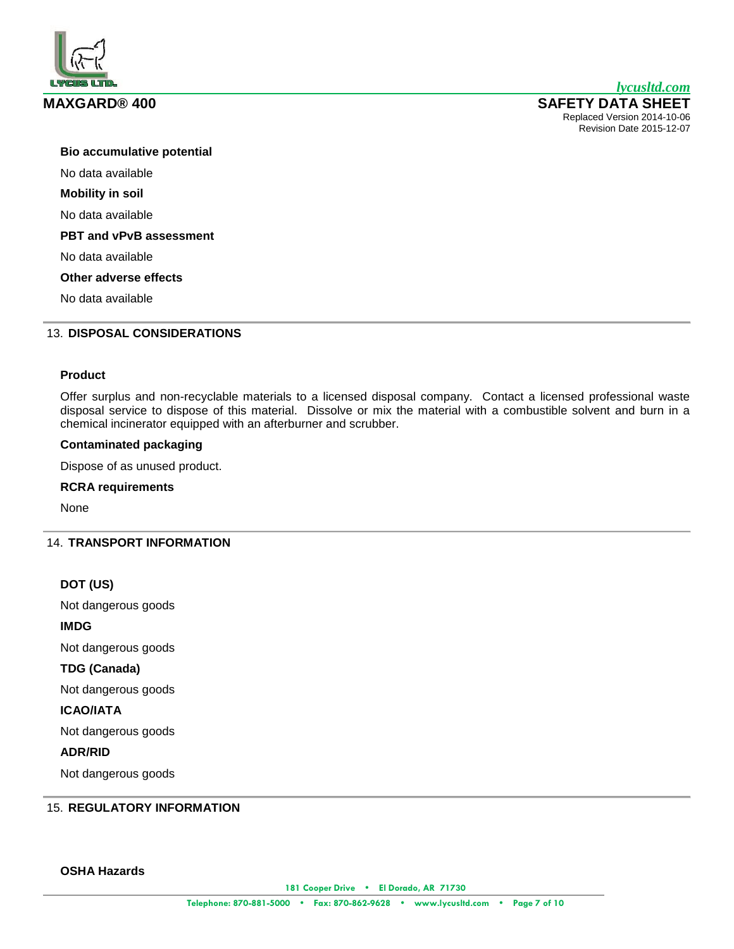*lycusltd.com* **MAXGARD® 400 SAFETY DATA SHEET** Replaced Version 2014-10-06 Revision Date 2015-12-07

**Bio accumulative potential** No data available **Mobility in soil** No data available **PBT and vPvB assessment** No data available **Other adverse effects** No data available

# 13. **DISPOSAL CONSIDERATIONS**

# **Product**

Offer surplus and non-recyclable materials to a licensed disposal company. Contact a licensed professional waste disposal service to dispose of this material. Dissolve or mix the material with a combustible solvent and burn in a chemical incinerator equipped with an afterburner and scrubber.

### **Contaminated packaging**

Dispose of as unused product.

# **RCRA requirements**

None

# 14. **TRANSPORT INFORMATION**

| DOT (US)            |
|---------------------|
| Not dangerous goods |
| IMDG                |
| Not dangerous goods |
| TDG (Canada)        |
| Not dangerous goods |
| ICAO/IATA           |
|                     |

# Not dangerous goods

# **ADR/RID**

Not dangerous goods

# 15. **REGULATORY INFORMATION**

# **OSHA Hazards**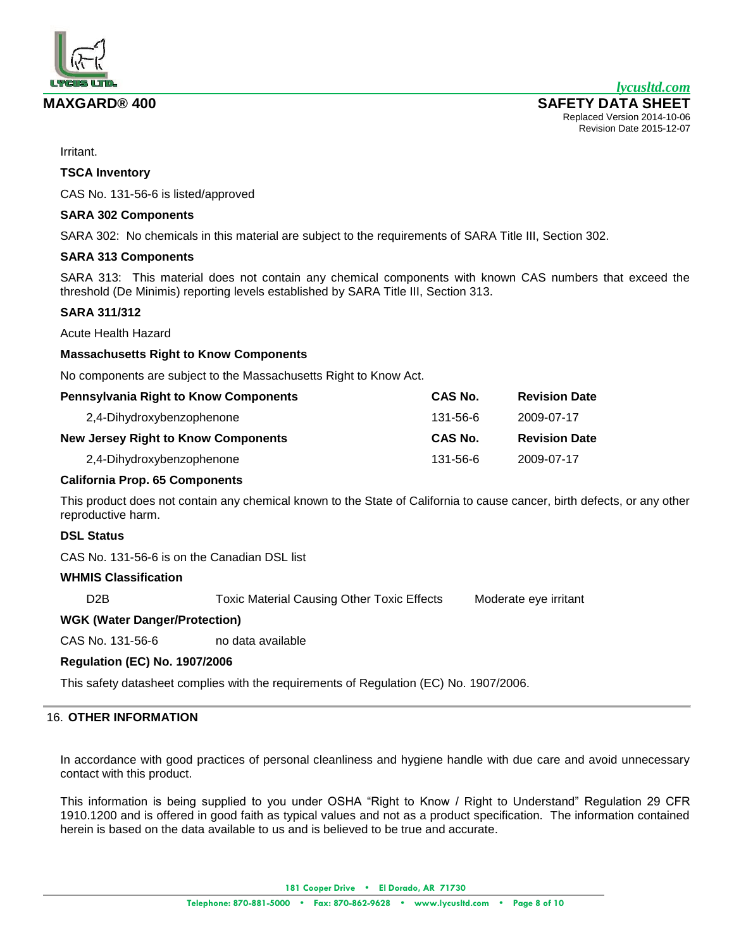

Irritant.

# **TSCA Inventory**

CAS No. 131-56-6 is listed/approved

# **SARA 302 Components**

SARA 302: No chemicals in this material are subject to the requirements of SARA Title III, Section 302.

# **SARA 313 Components**

SARA 313: This material does not contain any chemical components with known CAS numbers that exceed the threshold (De Minimis) reporting levels established by SARA Title III, Section 313.

# **SARA 311/312**

Acute Health Hazard

# **Massachusetts Right to Know Components**

No components are subject to the Massachusetts Right to Know Act.

| <b>Pennsylvania Right to Know Components</b> | CAS No.  | <b>Revision Date</b> |
|----------------------------------------------|----------|----------------------|
| 2,4-Dihydroxybenzophenone                    | 131-56-6 | 2009-07-17           |
| <b>New Jersey Right to Know Components</b>   | CAS No.  | <b>Revision Date</b> |
| 2,4-Dihydroxybenzophenone                    | 131-56-6 | 2009-07-17           |

# **California Prop. 65 Components**

This product does not contain any chemical known to the State of California to cause cancer, birth defects, or any other reproductive harm.

# **DSL Status**

CAS No. 131-56-6 is on the Canadian DSL list

# **WHMIS Classification**

D2B Toxic Material Causing Other Toxic Effects Moderate eye irritant

# **WGK (Water Danger/Protection)**

CAS No. 131-56-6 no data available

# **Regulation (EC) No. 1907/2006**

This safety datasheet complies with the requirements of Regulation (EC) No. 1907/2006.

# 16. **OTHER INFORMATION**

In accordance with good practices of personal cleanliness and hygiene handle with due care and avoid unnecessary contact with this product.

This information is being supplied to you under OSHA "Right to Know / Right to Understand" Regulation 29 CFR 1910.1200 and is offered in good faith as typical values and not as a product specification. The information contained herein is based on the data available to us and is believed to be true and accurate.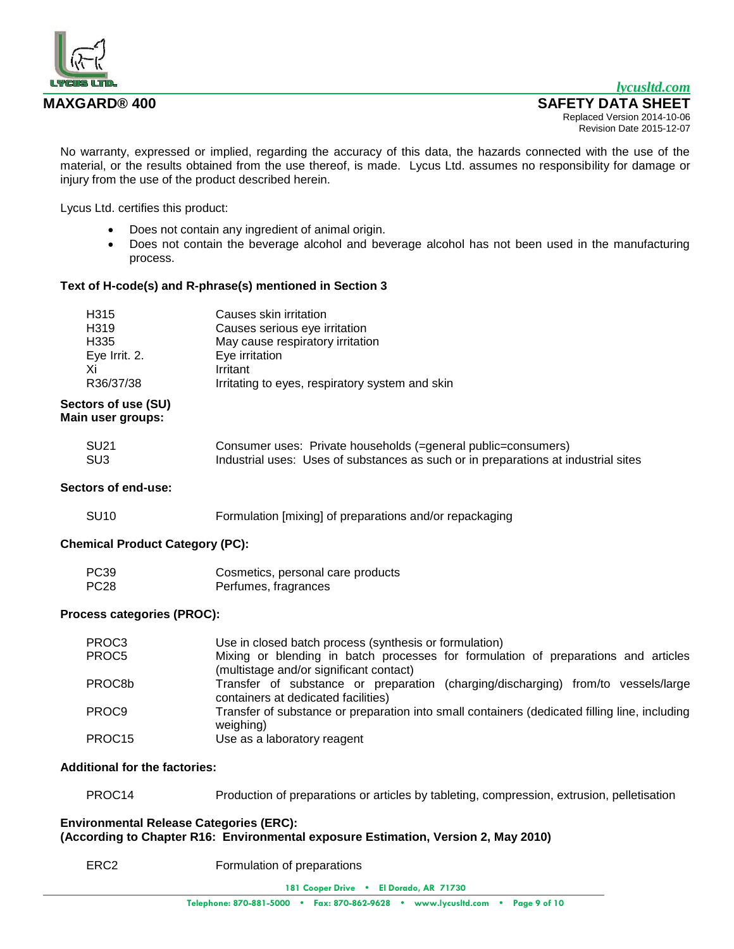

No warranty, expressed or implied, regarding the accuracy of this data, the hazards connected with the use of the material, or the results obtained from the use thereof, is made. Lycus Ltd. assumes no responsibility for damage or injury from the use of the product described herein.

Lycus Ltd. certifies this product:

- Does not contain any ingredient of animal origin.
- Does not contain the beverage alcohol and beverage alcohol has not been used in the manufacturing process.

# **Text of H-code(s) and R-phrase(s) mentioned in Section 3**

| H <sub>3</sub> 15 | Causes skin irritation                          |
|-------------------|-------------------------------------------------|
| H <sub>319</sub>  | Causes serious eye irritation                   |
| H <sub>335</sub>  | May cause respiratory irritation                |
| Eye Irrit. 2.     | Eye irritation                                  |
| Xi                | <b>Irritant</b>                                 |
| R36/37/38         | Irritating to eyes, respiratory system and skin |

## **Sectors of use (SU) Main user groups:**

| SU21 | Consumer uses: Private households (=general public=consumers)                      |
|------|------------------------------------------------------------------------------------|
| SU3  | Industrial uses: Uses of substances as such or in preparations at industrial sites |

# **Sectors of end-use:**

Formulation [mixing] of preparations and/or repackaging

# **Chemical Product Category (PC):**

| PC39 | Cosmetics, personal care products |
|------|-----------------------------------|
| PC28 | Perfumes, fragrances              |

# **Process categories (PROC):**

| PROC3  | Use in closed batch process (synthesis or formulation)                                                                        |
|--------|-------------------------------------------------------------------------------------------------------------------------------|
| PROC5  | Mixing or blending in batch processes for formulation of preparations and articles<br>(multistage and/or significant contact) |
| PROC8b | Transfer of substance or preparation (charging/discharging) from/to vessels/large<br>containers at dedicated facilities)      |
| PROC9  | Transfer of substance or preparation into small containers (dedicated filling line, including<br>weighing)                    |
| PROC15 | Use as a laboratory reagent                                                                                                   |

# **Additional for the factories:**

PROC14 Production of preparations or articles by tableting, compression, extrusion, pelletisation

# **Environmental Release Categories (ERC): (According to Chapter R16: Environmental exposure Estimation, Version 2, May 2010)**

ERC2 Formulation of preparations